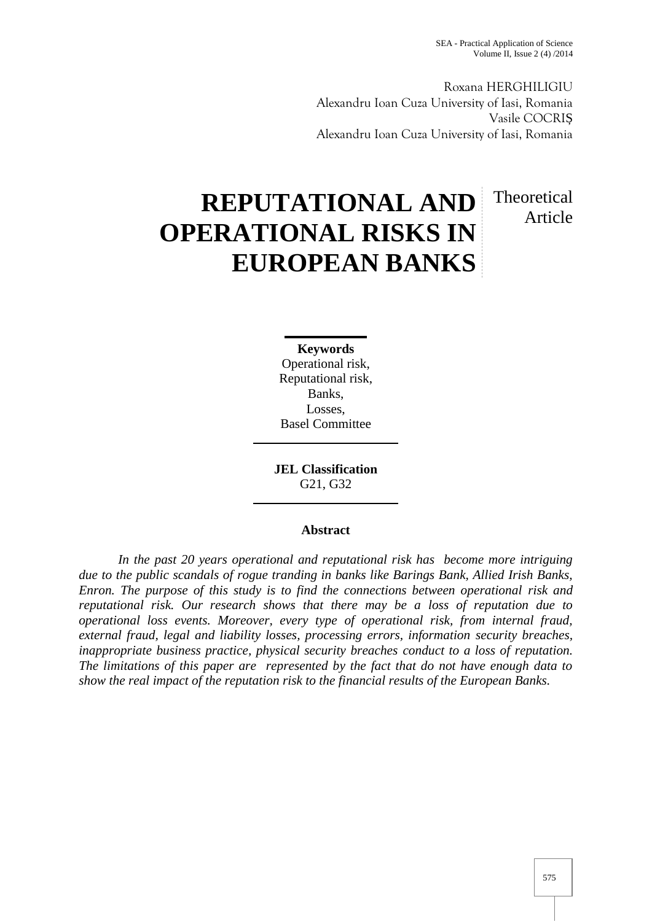Theoretical

Article

Roxana HERGHILIGIU Alexandru Ioan Cuza University of Iasi, Romania Vasile COCRI Alexandru Ioan Cuza University of Iasi, Romania

# **REPUTATIONAL AND OPERATIONAL RISKS IN EUROPEAN BANKS**

**Keywords** Operational risk, Reputational risk, Banks, Losses, Basel Committee

**JEL Classification** G21, G32

# **Abstract**

*In the past 20 years operational and reputational risk has become more intriguing due to the public scandals of rogue tranding in banks like Barings Bank, Allied Irish Banks, Enron. The purpose of this study is to find the connections between operational risk and reputational risk. Our research shows that there may be a loss of reputation due to operational loss events. Moreover, every type of operational risk, from internal fraud, external fraud, legal and liability losses, processing errors, information security breaches, inappropriate business practice, physical security breaches conduct to a loss of reputation. The limitations of this paper are represented by the fact that do not have enough data to show the real impact of the reputation risk to the financial results of the European Banks.*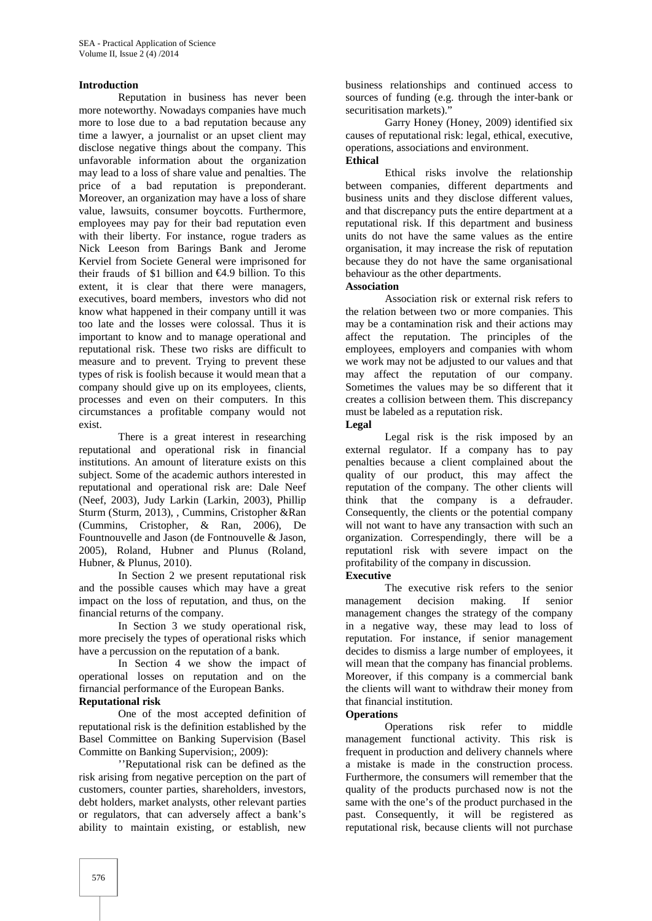#### **Introduction**

Reputation in business has never been more noteworthy. Nowadays companies have much more to lose due to a bad reputation because any time a lawyer, a journalist or an upset client may disclose negative things about the company. This unfavorable information about the organization may lead to a loss of share value and penalties. The price of a bad reputation is preponderant. Moreover, an organization may have a loss of share value, lawsuits, consumer boycotts. Furthermore, employees may pay for their bad reputation even with their liberty. For instance, rogue traders as Nick Leeson from Barings Bank and Jerome Kerviel from Societe General were imprisoned for their frauds of \$1 billion and  $\bigoplus$  9 billion. To this extent, it is clear that there were managers, executives, board members, investors who did not know what happened in their company untill it was too late and the losses were colossal. Thus it is important to know and to manage operational and reputational risk. These two risks are difficult to measure and to prevent. Trying to prevent these types of risk is foolish because it would mean that a company should give up on its employees, clients, processes and even on their computers. In this circumstances a profitable company would not exist.

There is a great interest in researching reputational and operational risk in financial institutions. An amount of literature exists on this subject. Some of the academic authors interested in reputational and operational risk are: Dale Neef (Neef, 2003), Judy Larkin (Larkin, 2003), Phillip Sturm (Sturm, 2013), , Cummins, Cristopher &Ran (Cummins, Cristopher, & Ran, 2006), De Fountnouvelle and Jason (de Fontnouvelle & Jason, 2005), Roland, Hubner and Plunus (Roland, Hubner, & Plunus, 2010).

In Section 2 we present reputational risk and the possible causes which may have a great impact on the loss of reputation, and thus, on the financial returns of the company.

In Section 3 we study operational risk, more precisely the types of operational risks which have a percussion on the reputation of a bank.

In Section 4 we show the impact of operational losses on reputation and on the firnancial performance of the European Banks.

# **Reputational risk**

One of the most accepted definition of reputational risk is the definition established by the Basel Committee on Banking Supervision (Basel Committe on Banking Supervision;, 2009):

''Reputational risk can be defined as the risk arising from negative perception on the part of customers, counter parties, shareholders, investors, debt holders, market analysts, other relevant parties or regulators, that can adversely affect a bank's ability to maintain existing, or establish, new

business relationships and continued access to sources of funding (e.g. through the inter-bank or securitisation markets)."

Garry Honey (Honey, 2009) identified six causes of reputational risk: legal, ethical, executive, operations, associations and environment. **Ethical**

Ethical risks involve the relationship between companies, different departments and business units and they disclose different values, and that discrepancy puts the entire department at a reputational risk. If this department and business units do not have the same values as the entire organisation, it may increase the risk of reputation because they do not have the same organisational behaviour as the other departments.

#### **Association**

Association risk or external risk refers to the relation between two or more companies. This may be a contamination risk and their actions may affect the reputation. The principles of the employees, employers and companies with whom we work may not be adjusted to our values and that may affect the reputation of our company. Sometimes the values may be so different that it creates a collision between them. This discrepancy must be labeled as a reputation risk.

**Legal**

Legal risk is the risk imposed by an external regulator. If a company has to pay penalties because a client complained about the quality of our product, this may affect the reputation of the company. The other clients will think that the company is a defrauder. Consequently, the clients or the potential company will not want to have any transaction with such an organization. Correspendingly, there will be a reputationl risk with severe impact on the profitability of the company in discussion.

**Executive**

The executive risk refers to the senior management decision making. If senior management changes the strategy of the company in a negative way, these may lead to loss of reputation. For instance, if senior management decides to dismiss a large number of employees, it will mean that the company has financial problems. Moreover, if this company is a commercial bank the clients will want to withdraw their money from that financial institution.

## **Operations**

Operations risk refer to middle management functional activity. This risk is frequent in production and delivery channels where a mistake is made in the construction process. Furthermore, the consumers will remember that the quality of the products purchased now is not the same with the one's of the product purchased in the past. Consequently, it will be registered as reputational risk, because clients will not purchase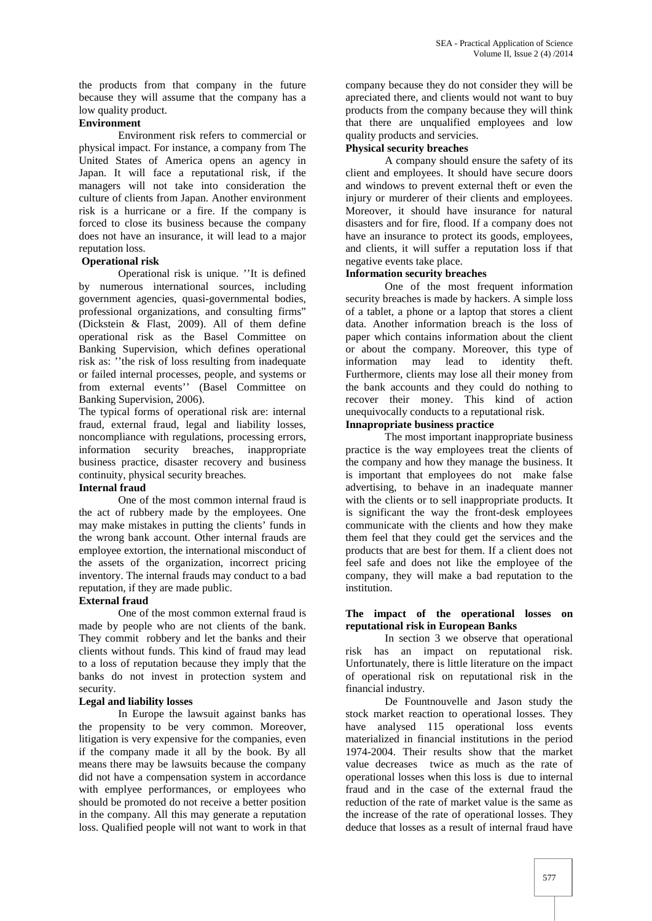the products from that company in the future because they will assume that the company has a low quality product.

#### **Environment**

Environment risk refers to commercial or physical impact. For instance, a company from The United States of America opens an agency in Japan. It will face a reputational risk, if the managers will not take into consideration the culture of clients from Japan. Another environment risk is a hurricane or a fire. If the company is forced to close its business because the company does not have an insurance, it will lead to a major reputation loss.

### **Operational risk**

Operational risk is unique. ''It is defined by numerous international sources, including government agencies, quasi-governmental bodies, professional organizations, and consulting firms" (Dickstein & Flast, 2009). All of them define operational risk as the Basel Committee on Banking Supervision, which defines operational risk as: ''the risk of loss resulting from inadequate or failed internal processes, people, and systems or from external events'' (Basel Committee on Banking Supervision, 2006).

The typical forms of operational risk are: internal fraud, external fraud, legal and liability losses, noncompliance with regulations, processing errors, information security breaches, inappropriate business practice, disaster recovery and business continuity, physical security breaches.

# **Internal fraud**

One of the most common internal fraud is the act of rubbery made by the employees. One may make mistakes in putting the clients' funds in the wrong bank account. Other internal frauds are employee extortion, the international misconduct of the assets of the organization, incorrect pricing inventory. The internal frauds may conduct to a bad reputation, if they are made public.

### **External fraud**

One of the most common external fraud is made by people who are not clients of the bank. They commit robbery and let the banks and their clients without funds. This kind of fraud may lead to a loss of reputation because they imply that the banks do not invest in protection system and security.

### **Legal and liability losses**

In Europe the lawsuit against banks has the propensity to be very common. Moreover, litigation is very expensive for the companies, even if the company made it all by the book. By all means there may be lawsuits because the company did not have a compensation system in accordance with emplyee performances, or employees who should be promoted do not receive a better position in the company. All this may generate a reputation loss. Qualified people will not want to work in that company because they do not consider they will be apreciated there, and clients would not want to buy products from the company because they will think that there are unqualified employees and low quality products and servicies.

# **Physical security breaches**

A company should ensure the safety of its client and employees. It should have secure doors and windows to prevent external theft or even the injury or murderer of their clients and employees. Moreover, it should have insurance for natural disasters and for fire, flood. If a company does not have an insurance to protect its goods, employees, and clients, it will suffer a reputation loss if that negative events take place.

#### **Information security breaches**

One of the most frequent information security breaches is made by hackers. A simple loss of a tablet, a phone or a laptop that stores a client data. Another information breach is the loss of paper which contains information about the client or about the company. Moreover, this type of information may lead to identity theft. Furthermore, clients may lose all their money from the bank accounts and they could do nothing to recover their money. This kind of action unequivocally conducts to a reputational risk.

# **Innapropriate business practice**

The most important inappropriate business practice is the way employees treat the clients of the company and how they manage the business. It is important that employees do not make false advertising, to behave in an inadequate manner with the clients or to sell inappropriate products. It is significant the way the front-desk employees communicate with the clients and how they make them feel that they could get the services and the products that are best for them. If a client does not feel safe and does not like the employee of the company, they will make a bad reputation to the institution.

#### **The impact of the operational losses on reputational risk in European Banks**

In section 3 we observe that operational risk has an impact on reputational risk. Unfortunately, there is little literature on the impact of operational risk on reputational risk in the financial industry.

De Fountnouvelle and Jason study the stock market reaction to operational losses. They have analysed 115 operational loss events materialized in financial institutions in the period 1974-2004. Their results show that the market value decreases twice as much as the rate of operational losses when this loss is due to internal fraud and in the case of the external fraud the reduction of the rate of market value is the same as the increase of the rate of operational losses. They deduce that losses as a result of internal fraud have